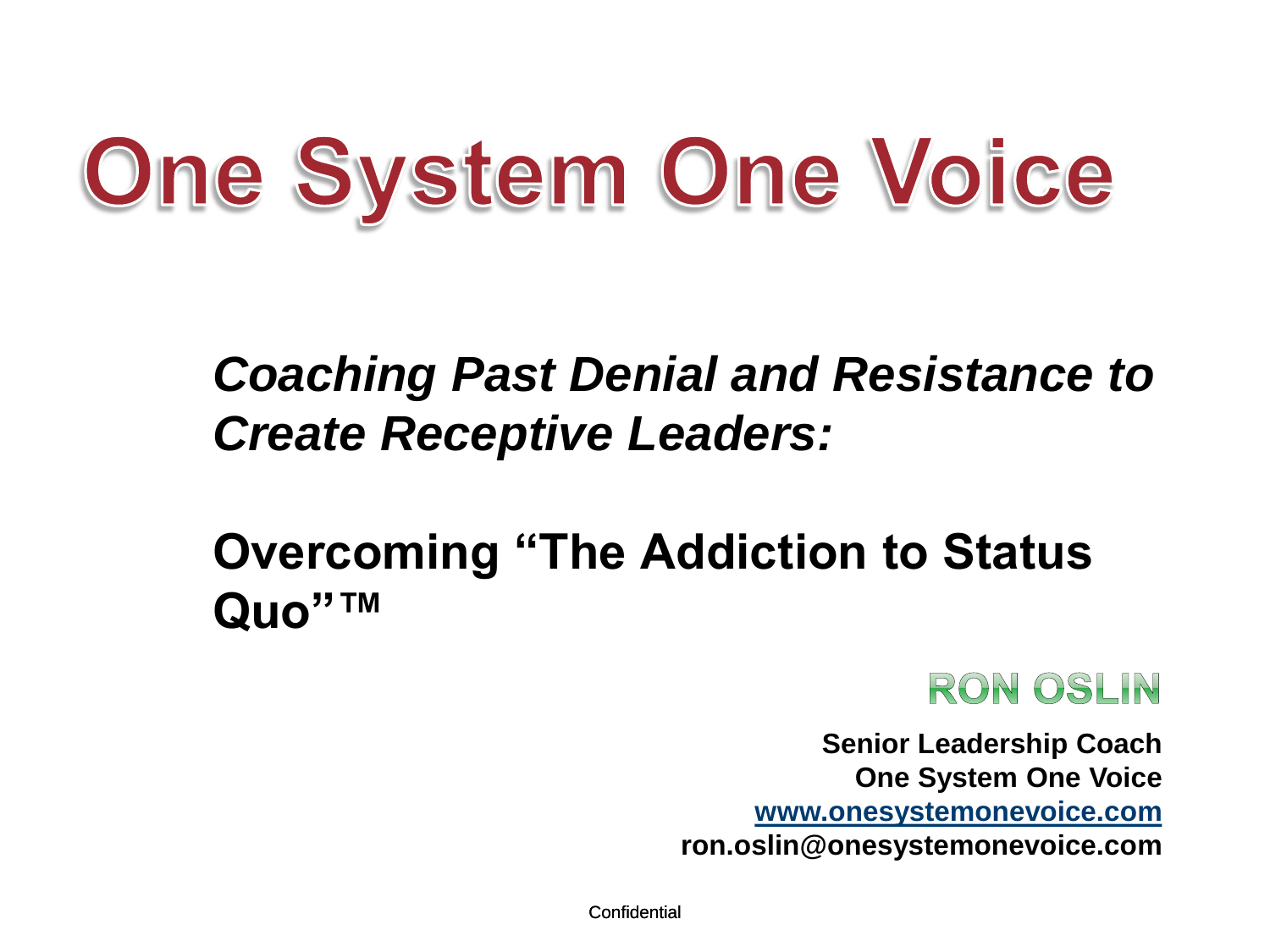# One System One Voice

## *Coaching Past Denial and Resistance to Create Receptive Leaders:*

## **Overcoming "The Addiction to Status Quo"™**



**Senior Leadership Coach One System One Voice [www.onesystemonevoice.com](http://www.onesystemonevoice.com/) ron.oslin@onesystemonevoice.com**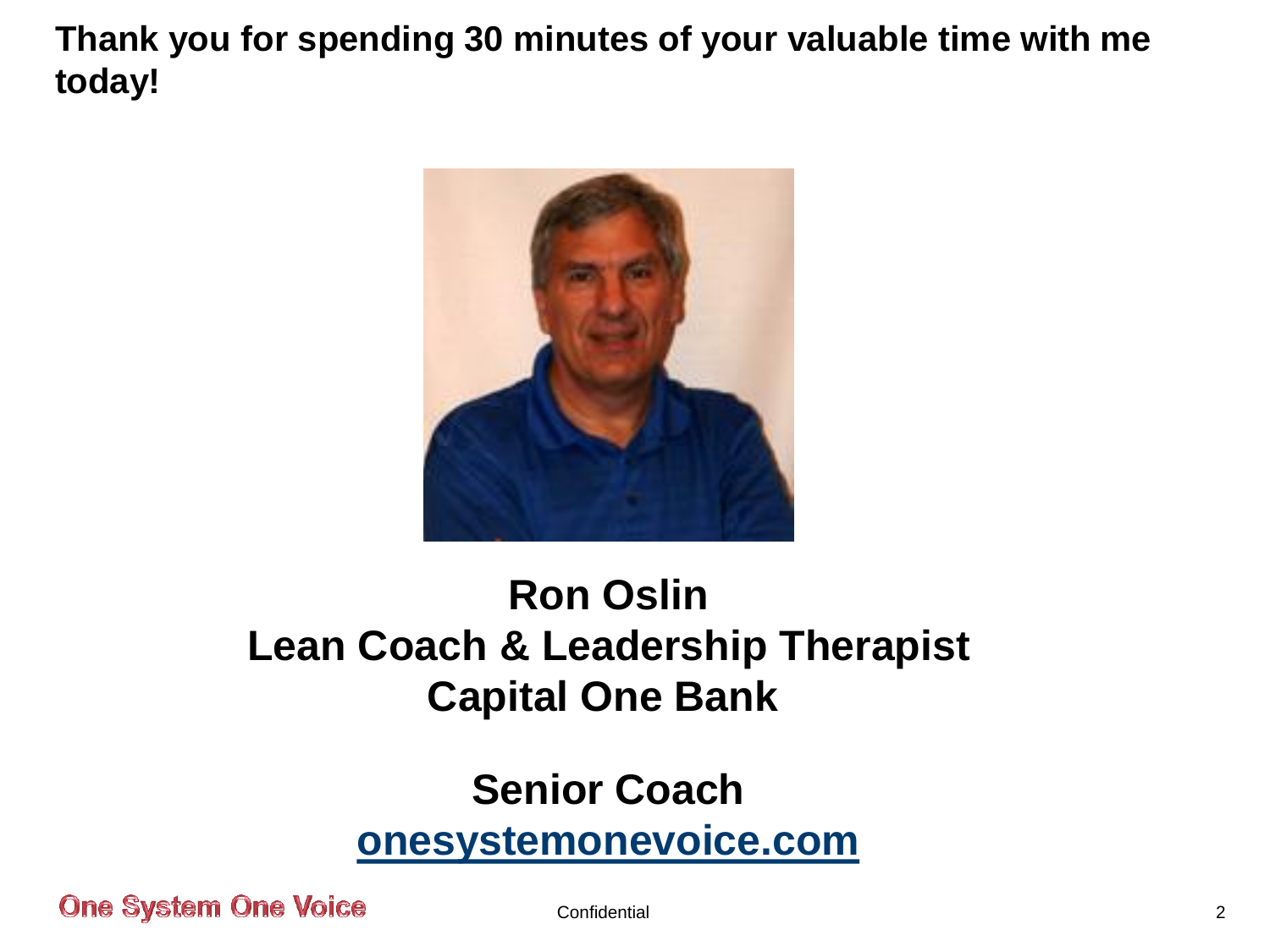**Thank you for spending 30 minutes of your valuable time with me today!**



## **Ron Oslin Lean Coach & Leadership Therapist Capital One Bank**

## **Senior Coach [onesystemonevoice.com](http://www.onesystemonevoice.com/)**

**One System One Voice**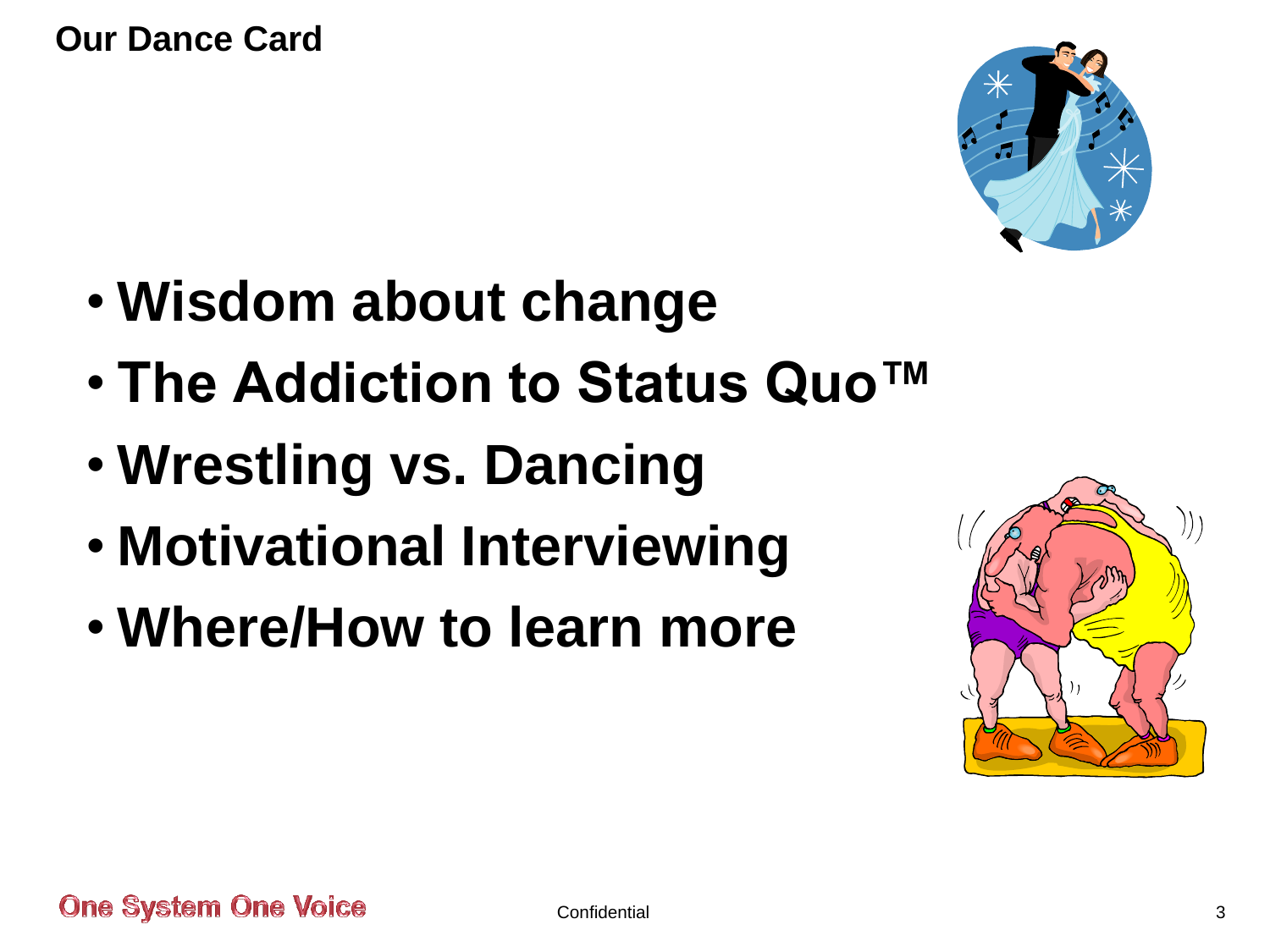**Our Dance Card**



- **Wisdom about change**
- **The Addiction to Status Quo™**
- **Wrestling vs. Dancing**
- **Motivational Interviewing**
- **Where/How to learn more**

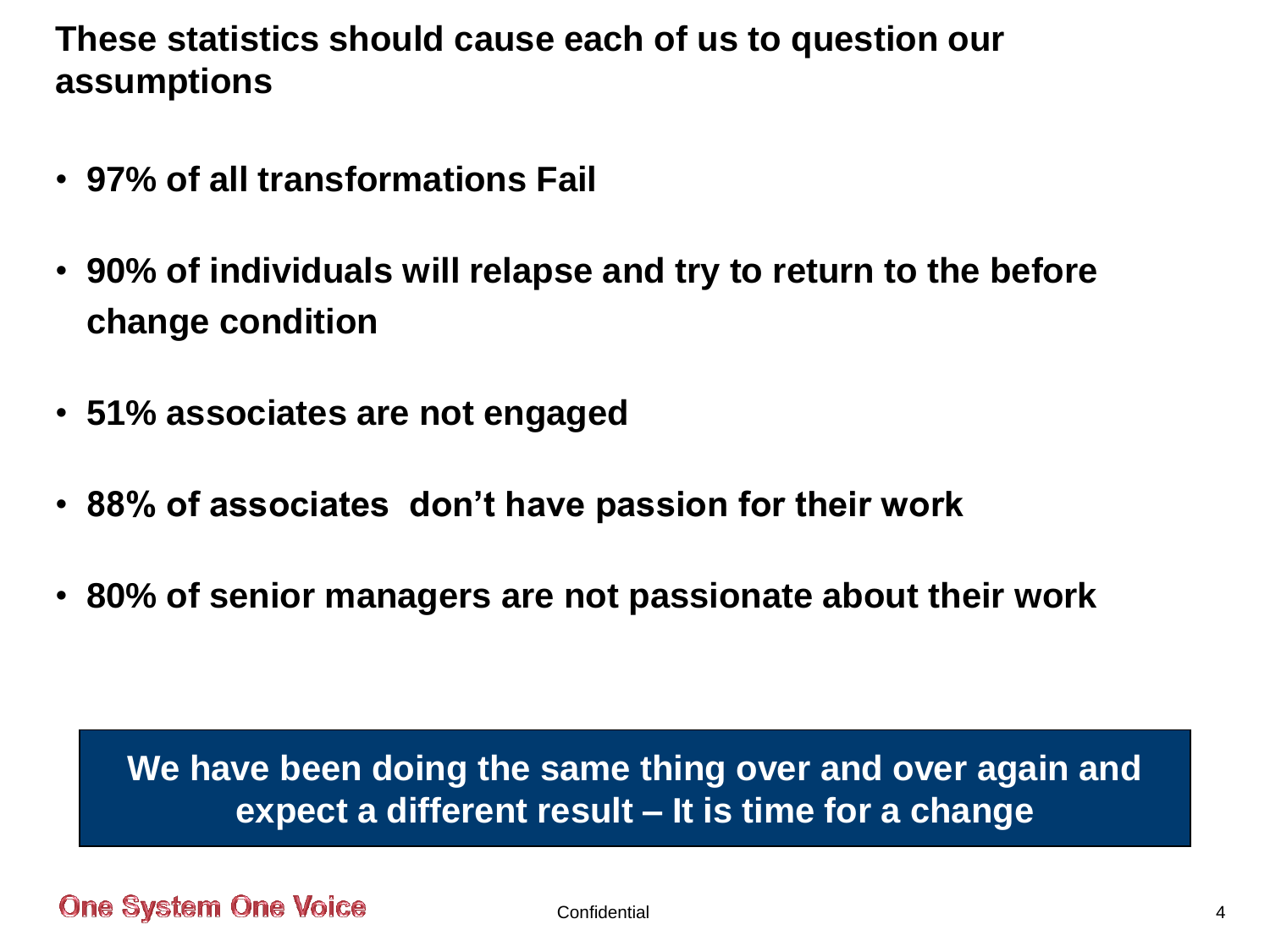**These statistics should cause each of us to question our assumptions**

- **97% of all transformations Fail**
- **90% of individuals will relapse and try to return to the before change condition**
- **51% associates are not engaged**
- **88% of associates don't have passion for their work**
- **80% of senior managers are not passionate about their work**

**We have been doing the same thing over and over again and expect a different result – It is time for a change**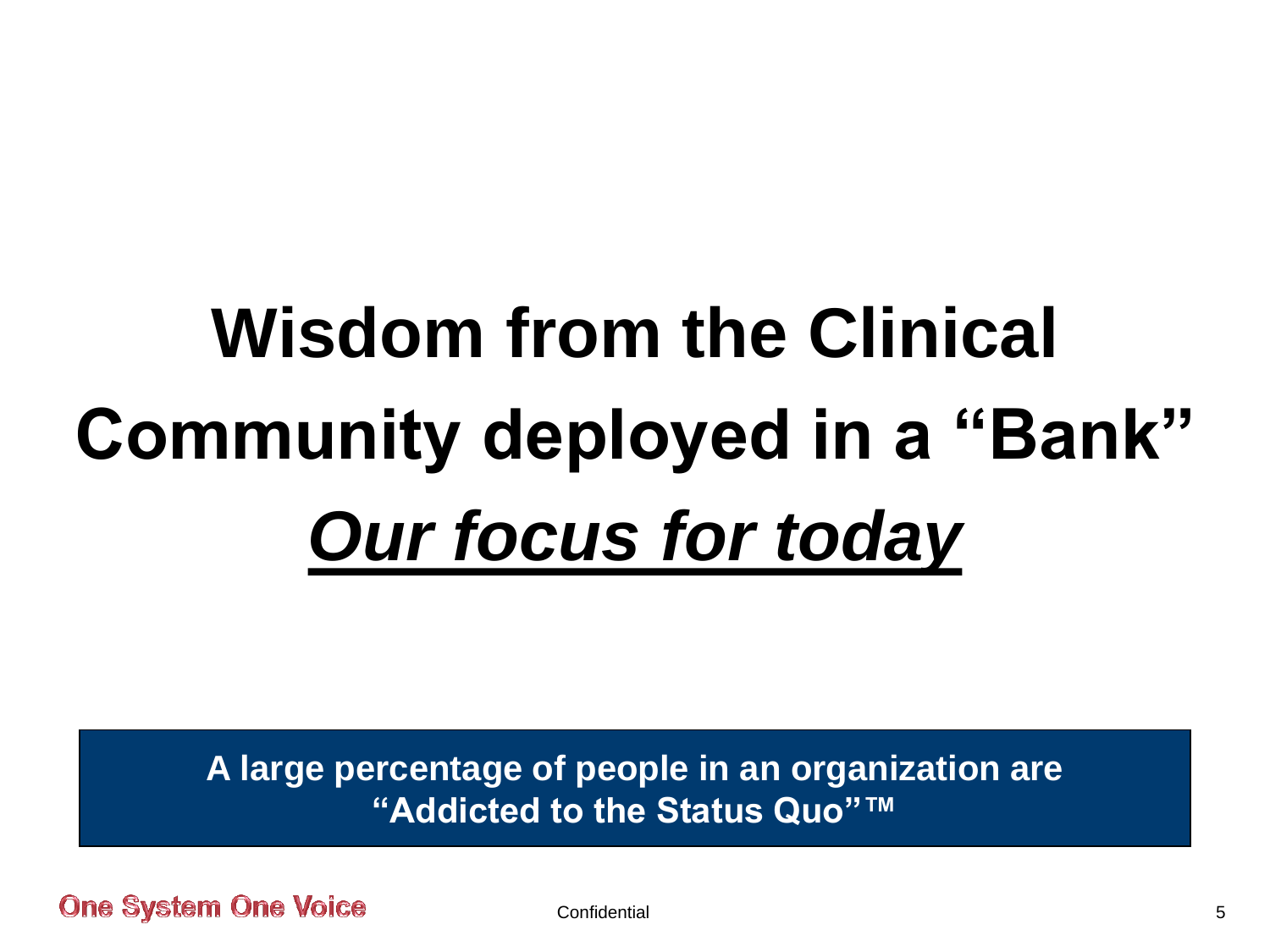# **Wisdom from the Clinical Community deployed in a "Bank"** *Our focus for today*

**A large percentage of people in an organization are "Addicted to the Status Quo"™**

**One System One Voice**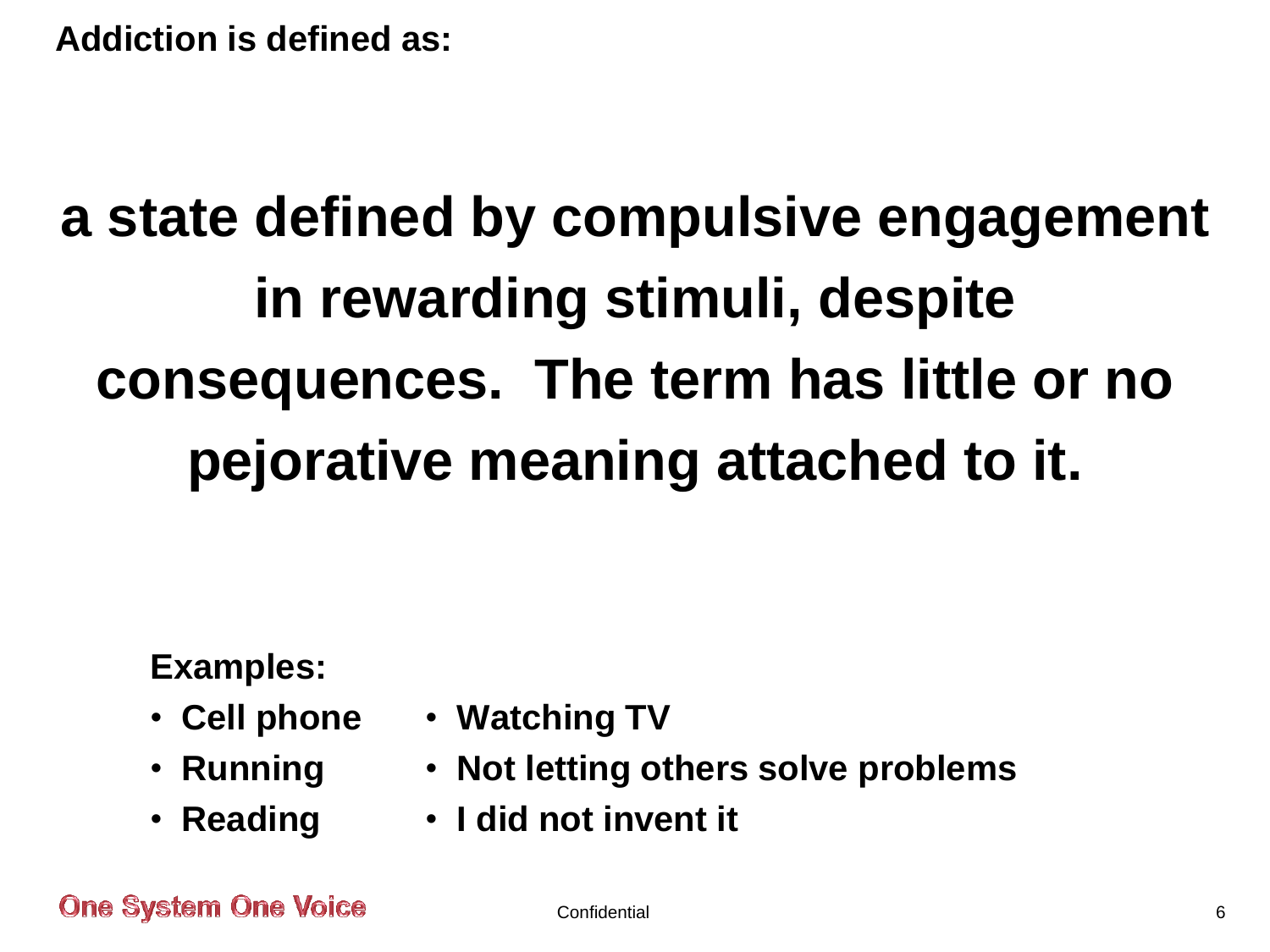**Addiction is defined as:**

## **a state defined by compulsive engagement in rewarding stimuli, despite consequences. The term has little or no pejorative meaning attached to it.**

#### **Examples:**

- **Cell phone**
- **Running**
- **Reading**
- **Watching TV**
- **Not letting others solve problems**
- **I did not invent it**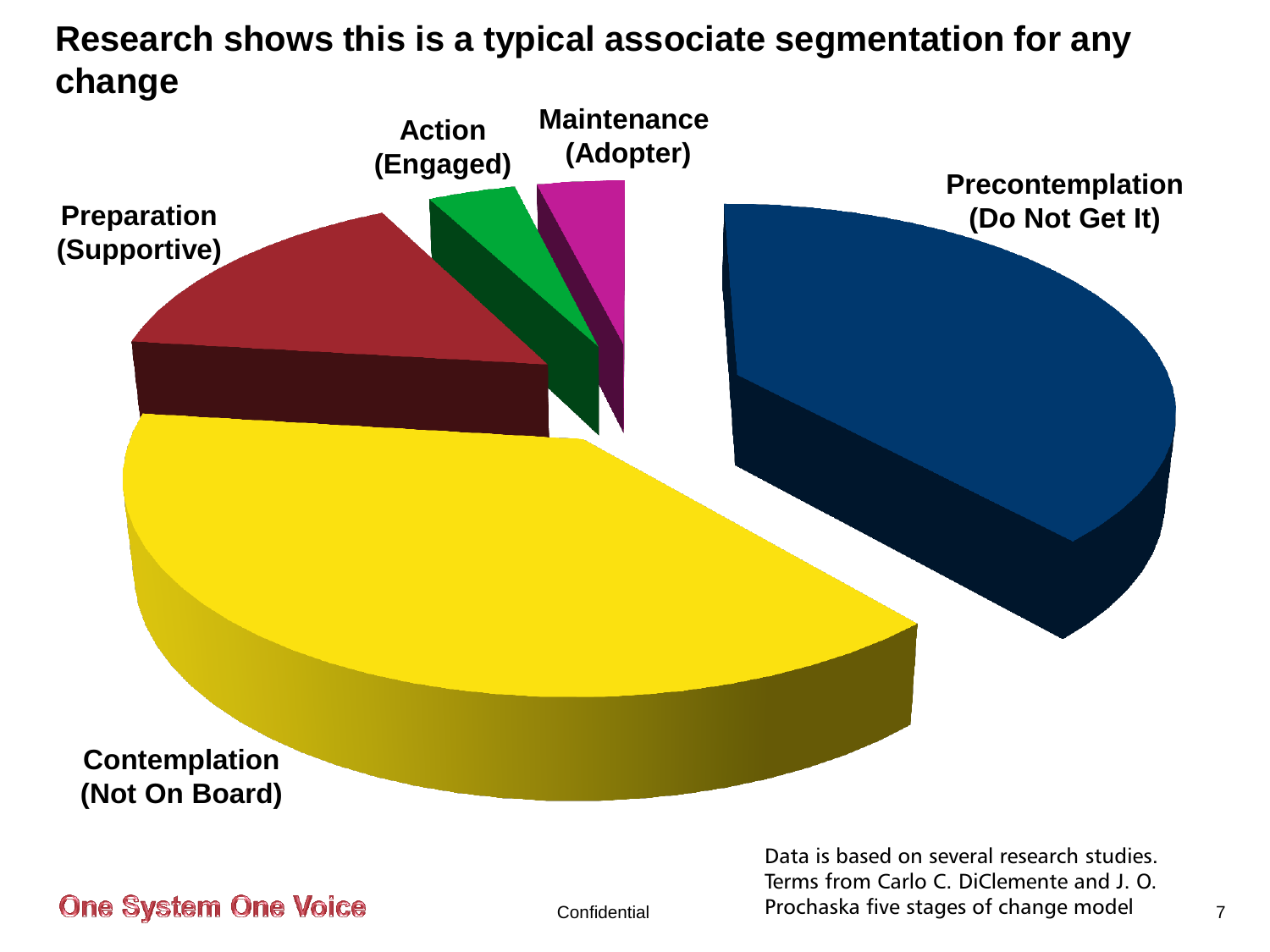#### **Research shows this is a typical associate segmentation for any change**



**One System One Voice** 

Confidential 7 Prochaska five stages of change model Data is based on several research studies. Terms from Carlo C. DiClemente and J. O.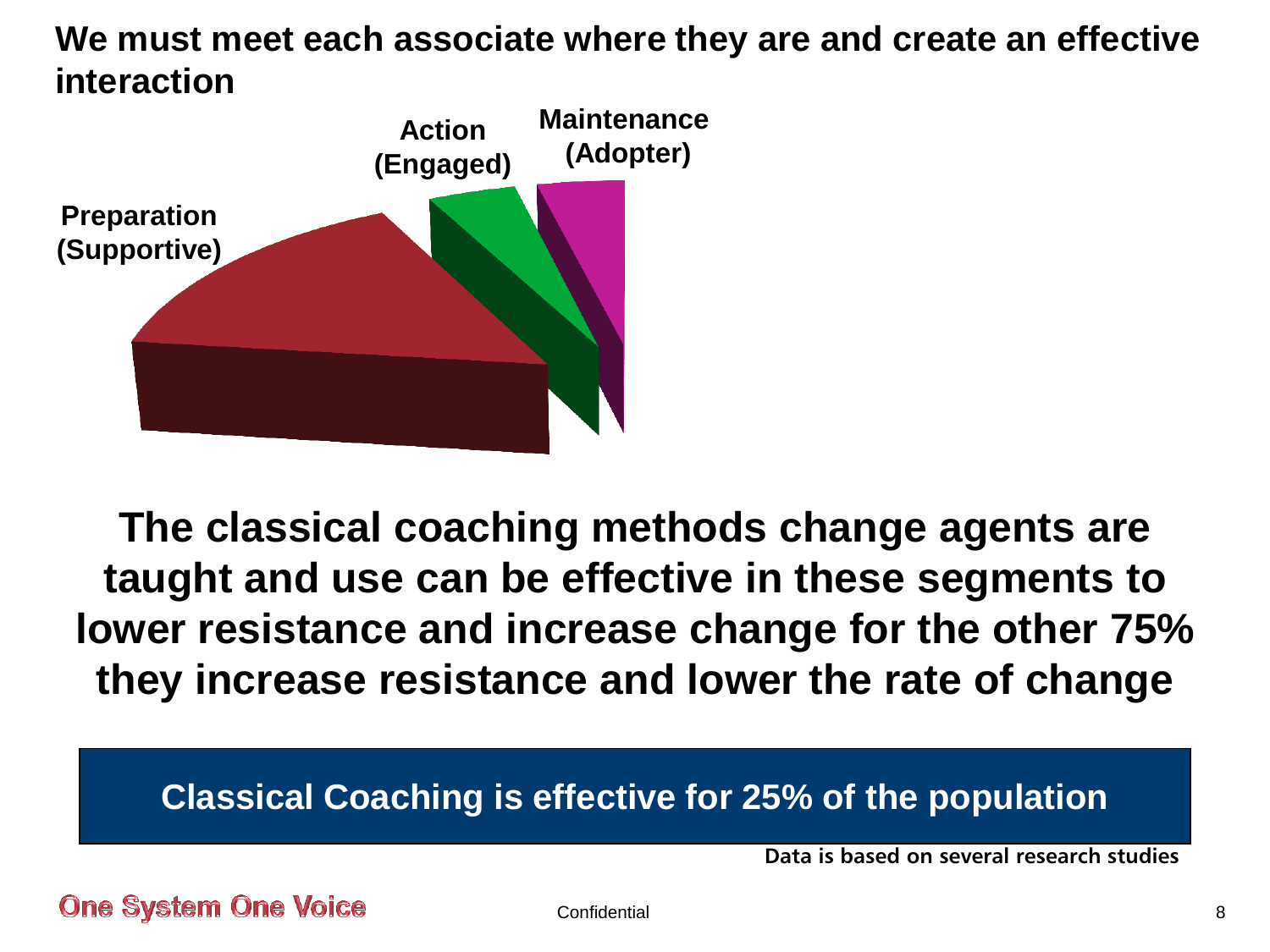#### **We must meet each associate where they are and create an effective interaction**



**The classical coaching methods change agents are taught and use can be effective in these segments to lower resistance and increase change for the other 75% they increase resistance and lower the rate of change**

#### **Classical Coaching is effective for 25% of the population**

**Data is based on several research studies**

**One System One Voice**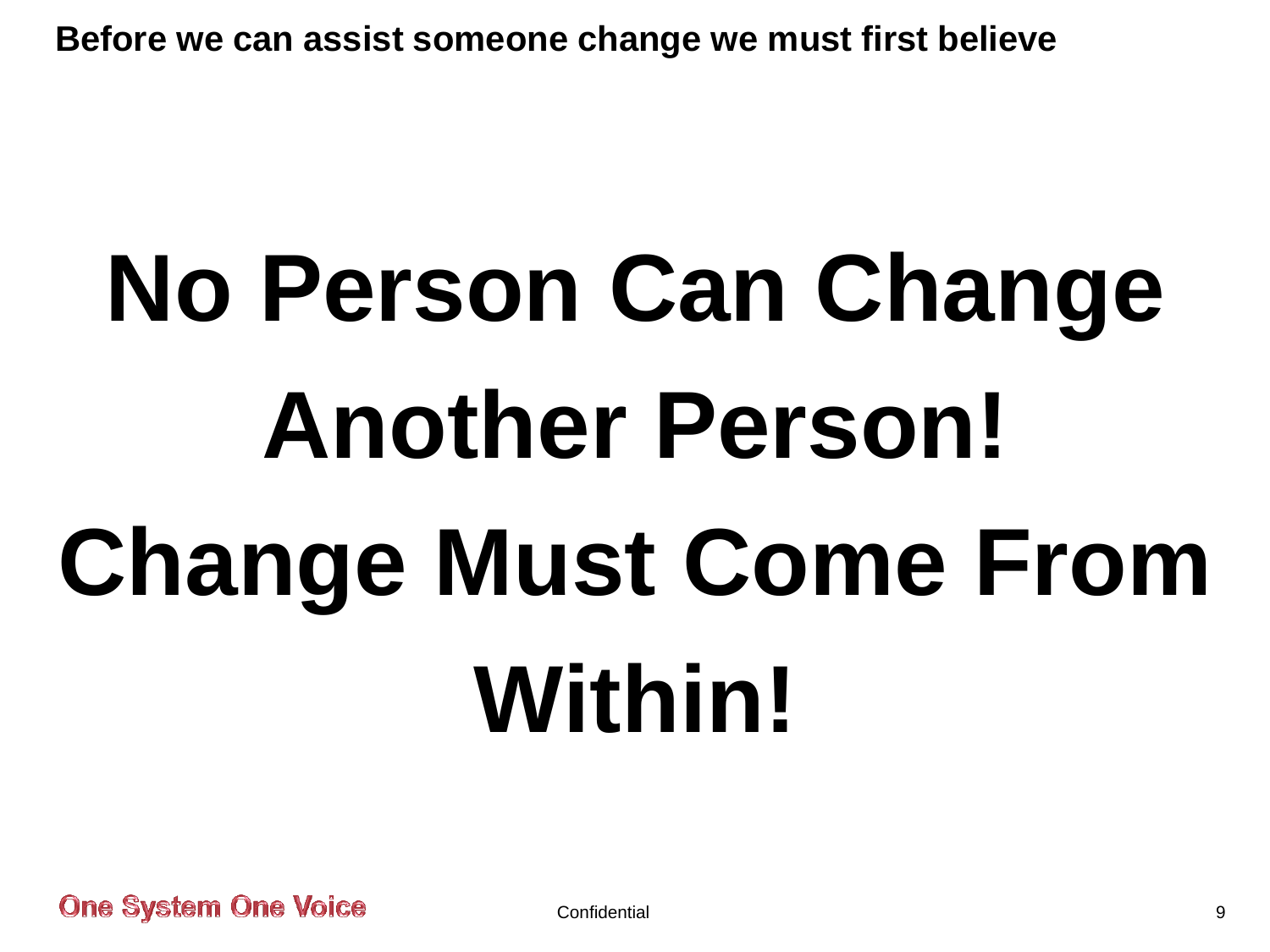**Before we can assist someone change we must first believe**

# **No Person Can Change Another Person! Change Must Come From Within!**

**One System One Voice**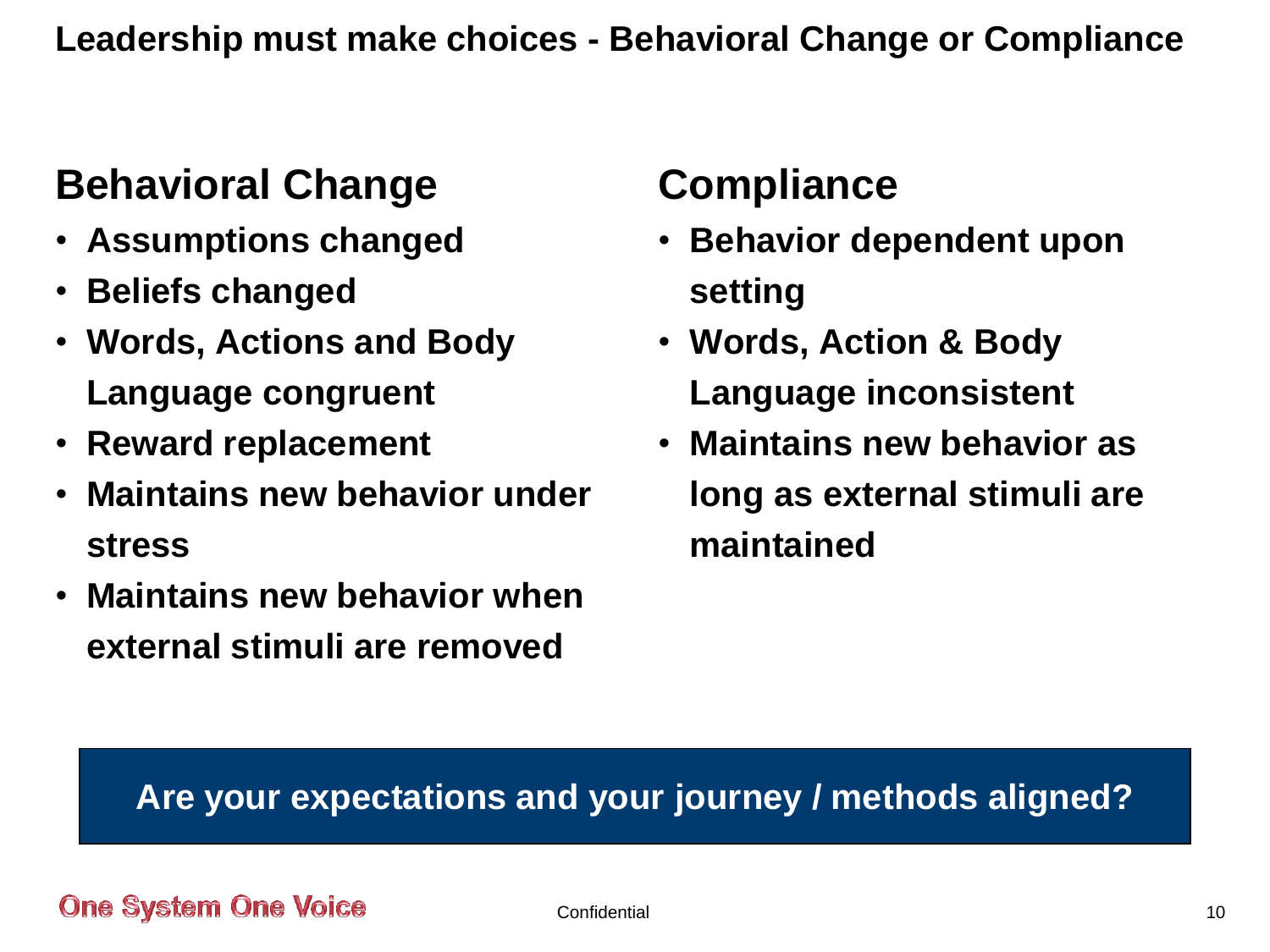## **Behavioral Change**

- **Assumptions changed**
- **Beliefs changed**
- **Words, Actions and Body Language congruent**
- **Reward replacement**
- **Maintains new behavior under stress**
- **Maintains new behavior when external stimuli are removed**

## **Compliance**

- **Behavior dependent upon setting**
- **Words, Action & Body Language inconsistent**
- **Maintains new behavior as long as external stimuli are maintained**

#### **Are your expectations and your journey / methods aligned?**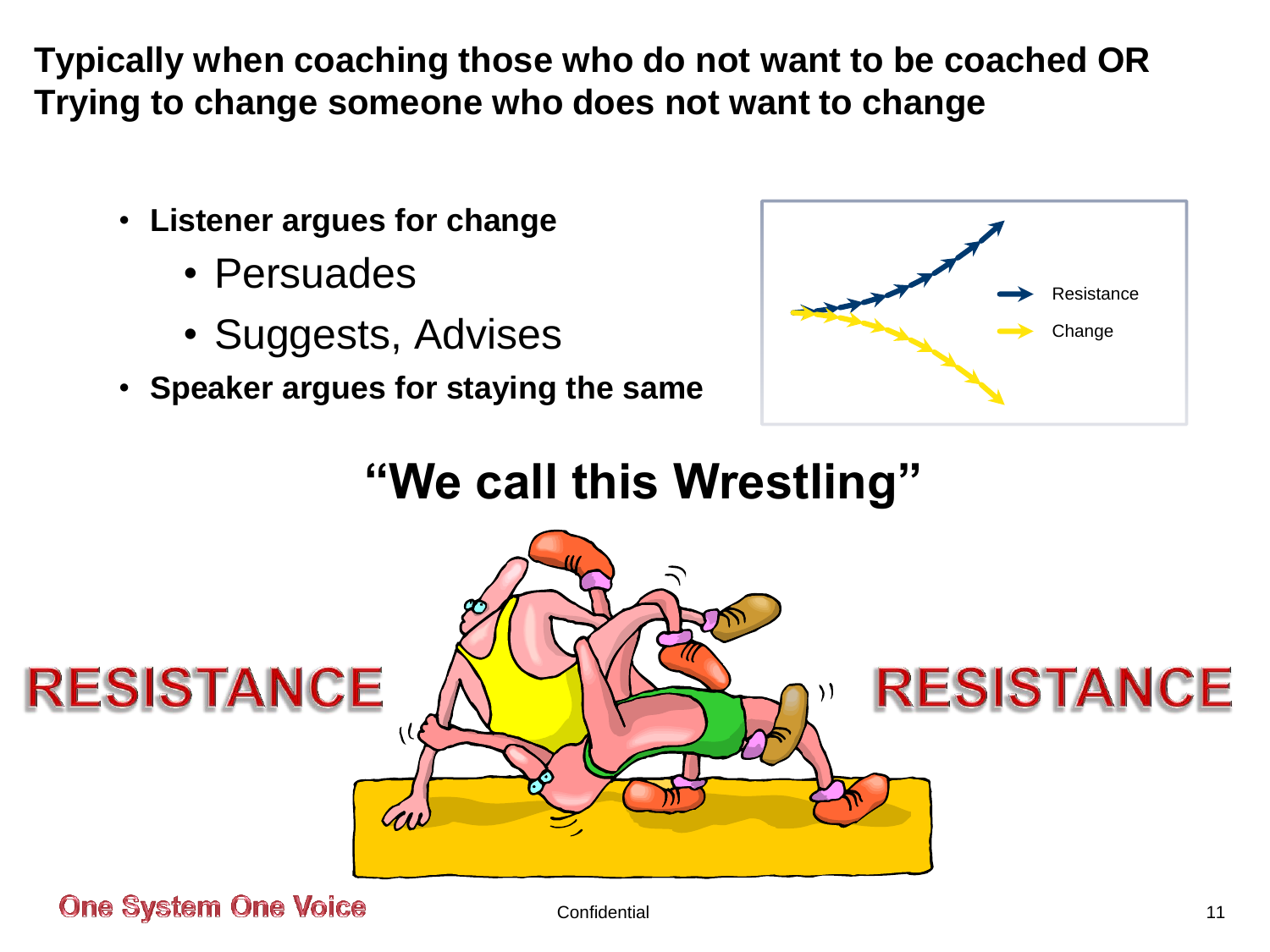**Typically when coaching those who do not want to be coached OR Trying to change someone who does not want to change**

- **Listener argues for change**
	- Persuades
	- Suggests, Advises
- **Speaker argues for staying the same**



## **"We call this Wrestling"**

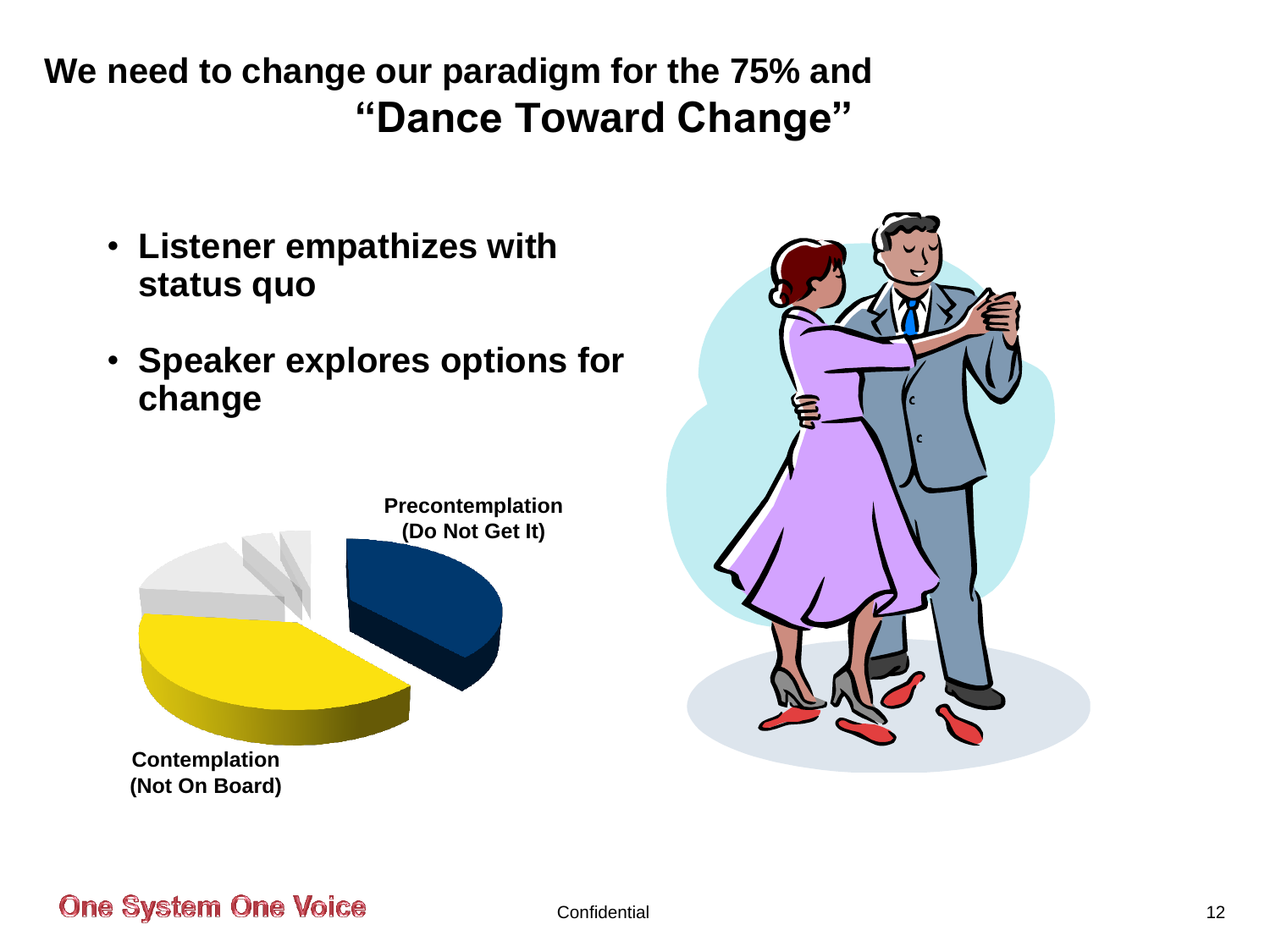### **We need to change our paradigm for the 75% and "Dance Toward Change"**

- **Listener empathizes with status quo**
- **Speaker explores options for change**



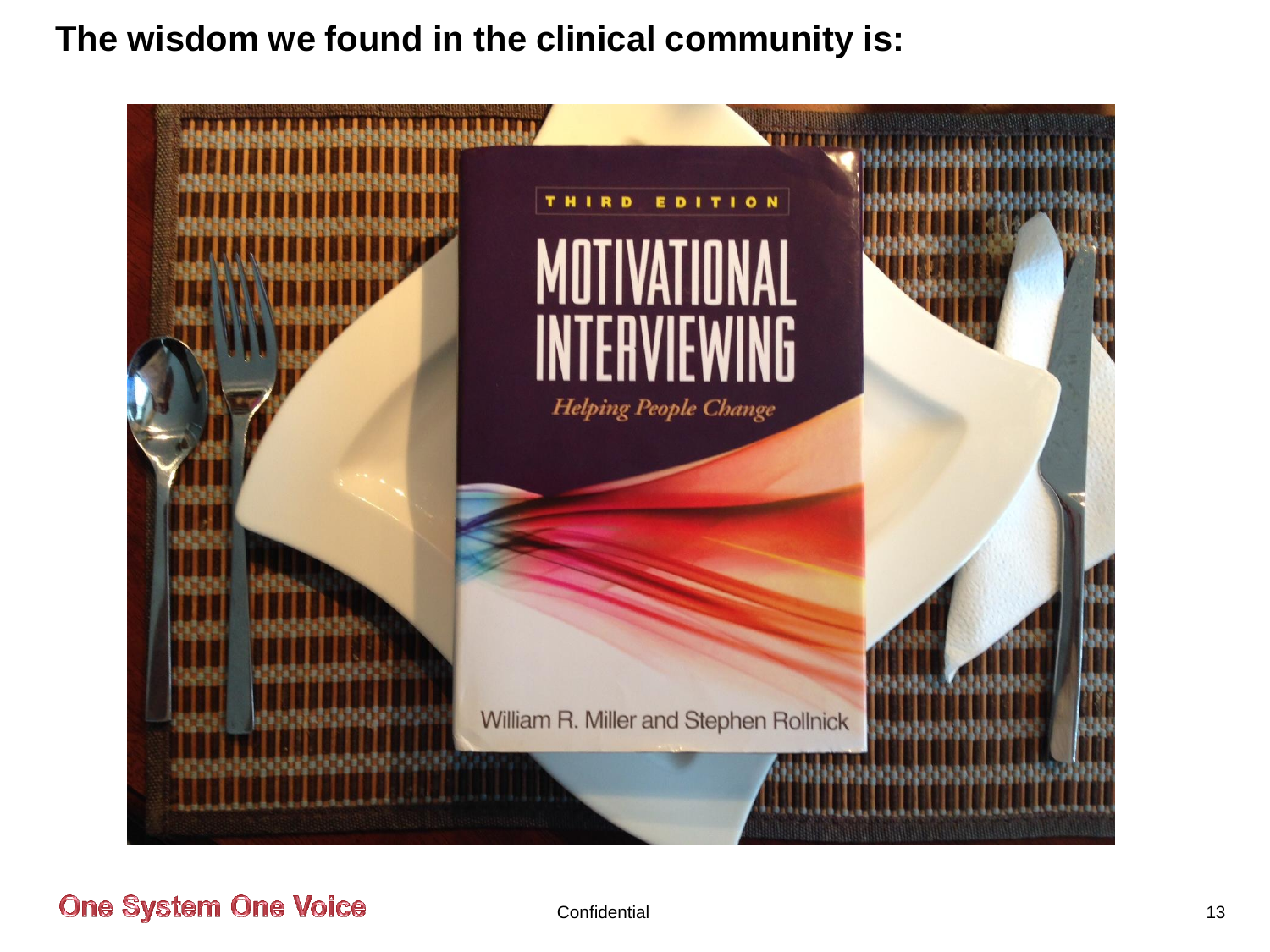#### **The wisdom we found in the clinical community is:**

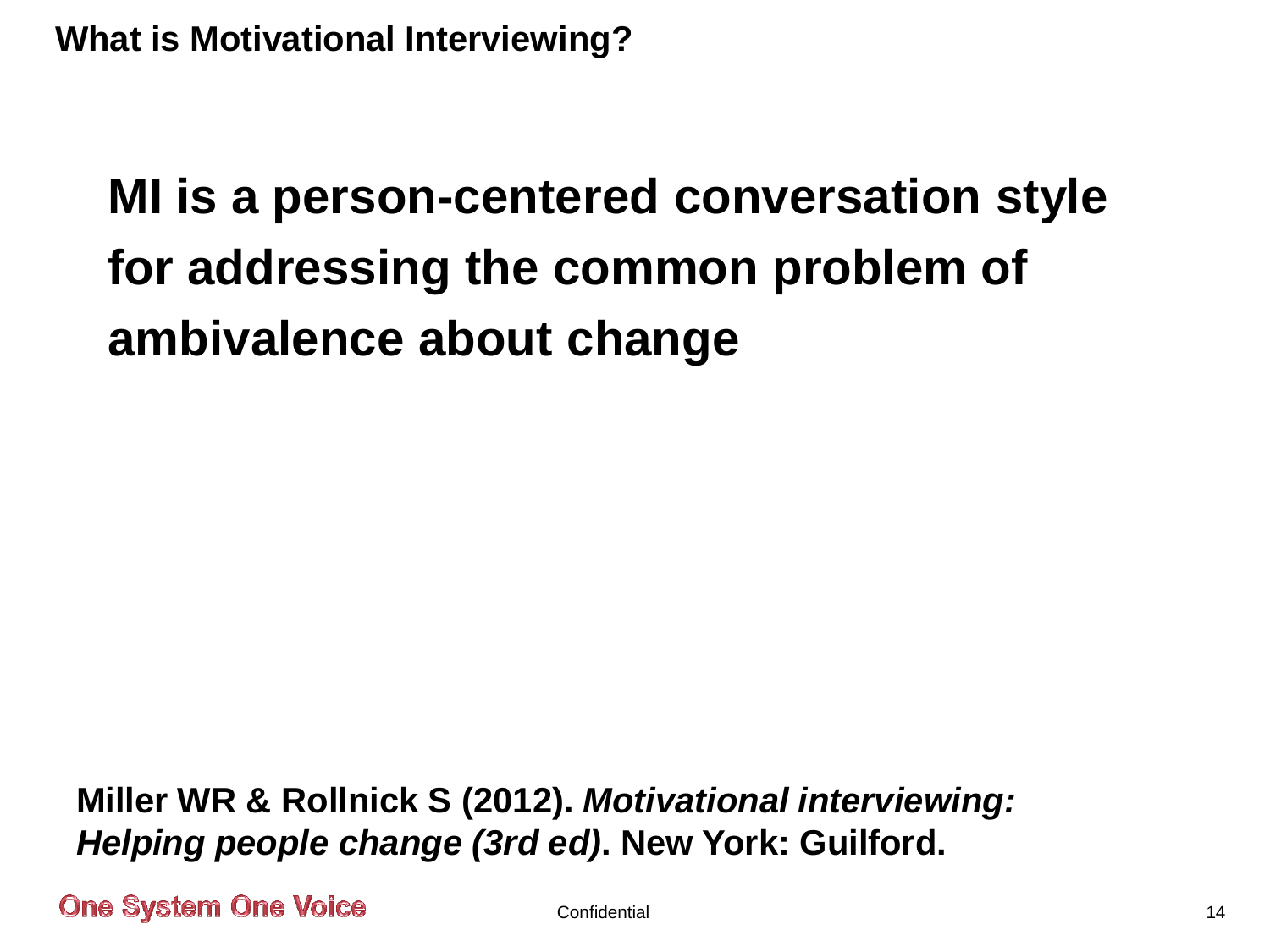## **MI is a person-centered conversation style for addressing the common problem of ambivalence about change**

**Miller WR & Rollnick S (2012).** *Motivational interviewing: Helping people change (3rd ed)***. New York: Guilford.**

**One System One Voice** 

Confidential 2008 14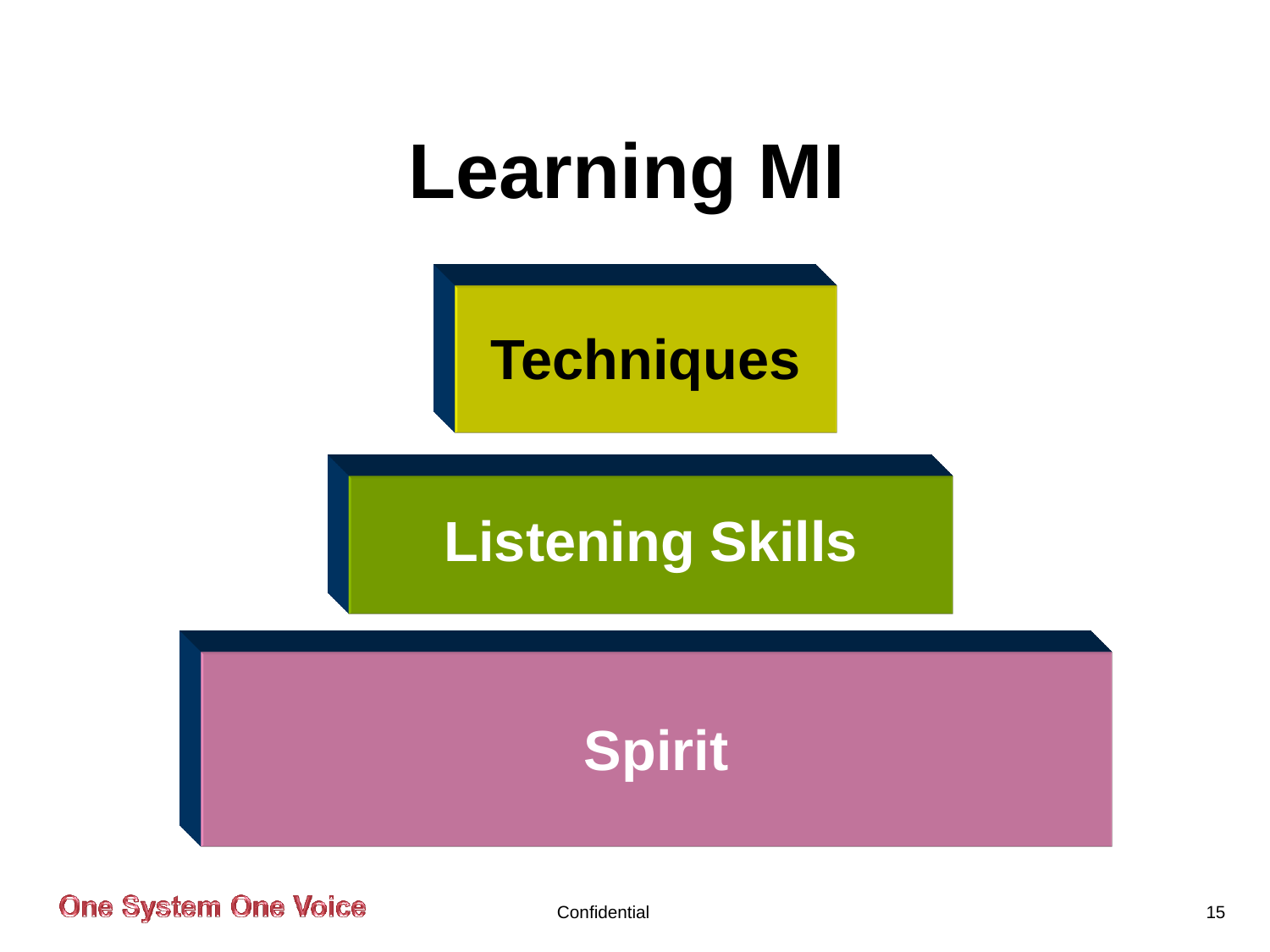



## **Listening Skills**

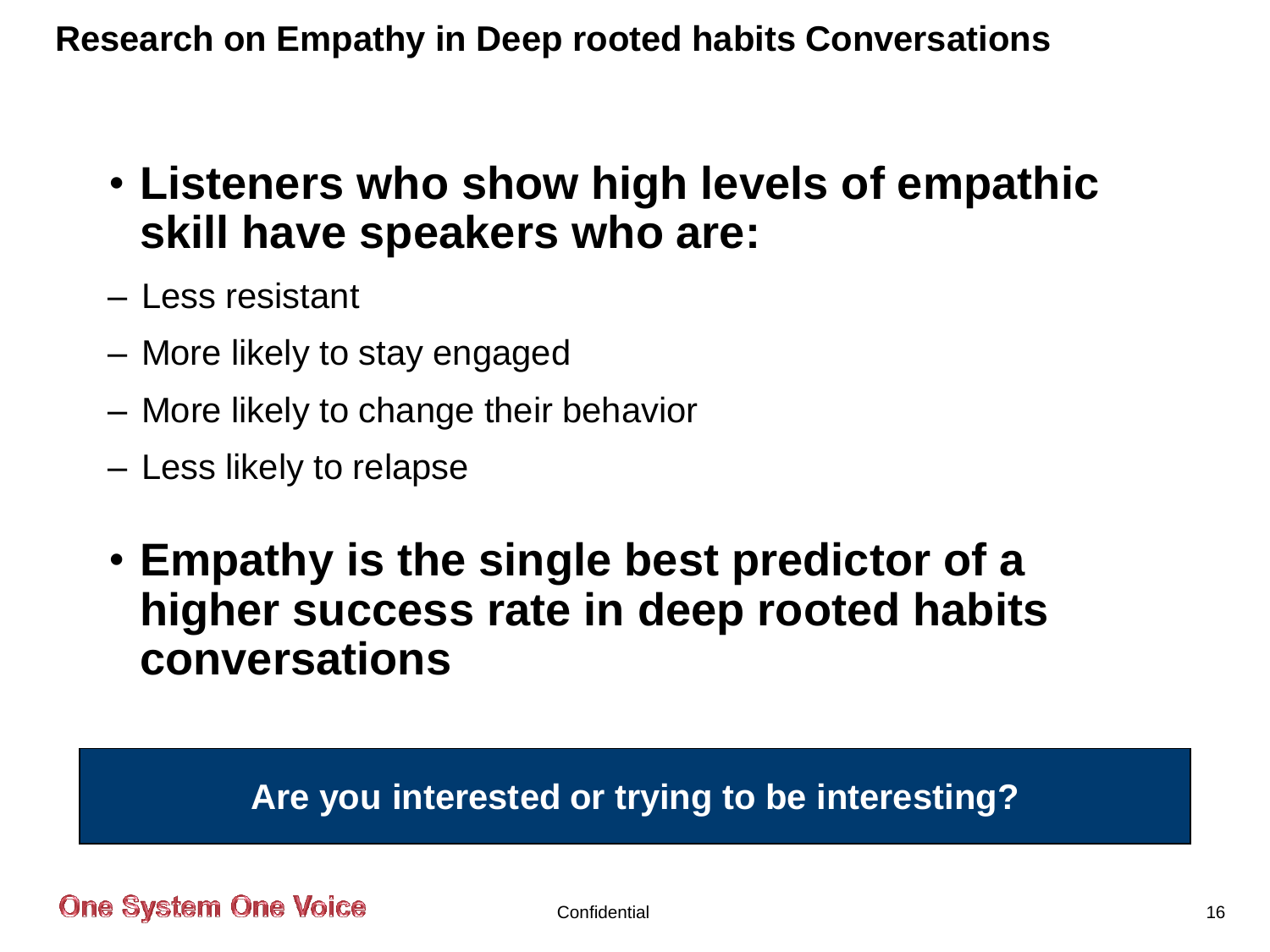#### **Research on Empathy in Deep rooted habits Conversations**

- **Listeners who show high levels of empathic skill have speakers who are:**
- Less resistant
- More likely to stay engaged
- More likely to change their behavior
- Less likely to relapse
- **Empathy is the single best predictor of a higher success rate in deep rooted habits conversations**

#### **Are you interested or trying to be interesting?**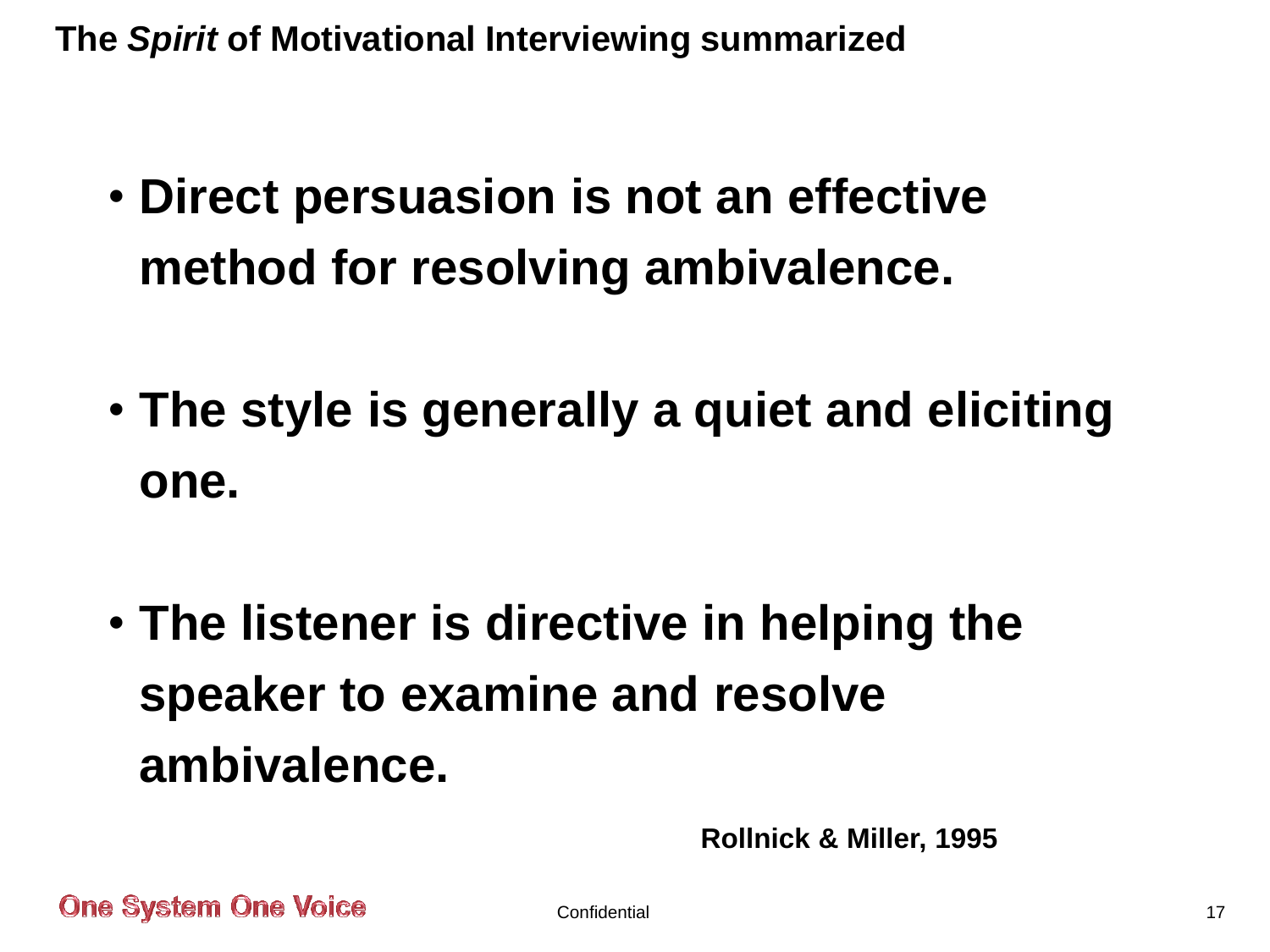**The** *Spirit* **of Motivational Interviewing summarized**

- **Direct persuasion is not an effective method for resolving ambivalence.**
- **The style is generally a quiet and eliciting one.**
- **The listener is directive in helping the speaker to examine and resolve ambivalence.**

**Rollnick & Miller, 1995**

**One System One Voice** 

Confidential 27 and 27 and 27 and 27 and 27 and 27 and 27 and 27 and 27 and 27 and 27 and 27 and 27 and 27 and 27 and 27 and 27 and 27 and 27 and 27 and 27 and 27 and 27 and 27 and 27 and 27 and 27 and 27 and 27 and 27 and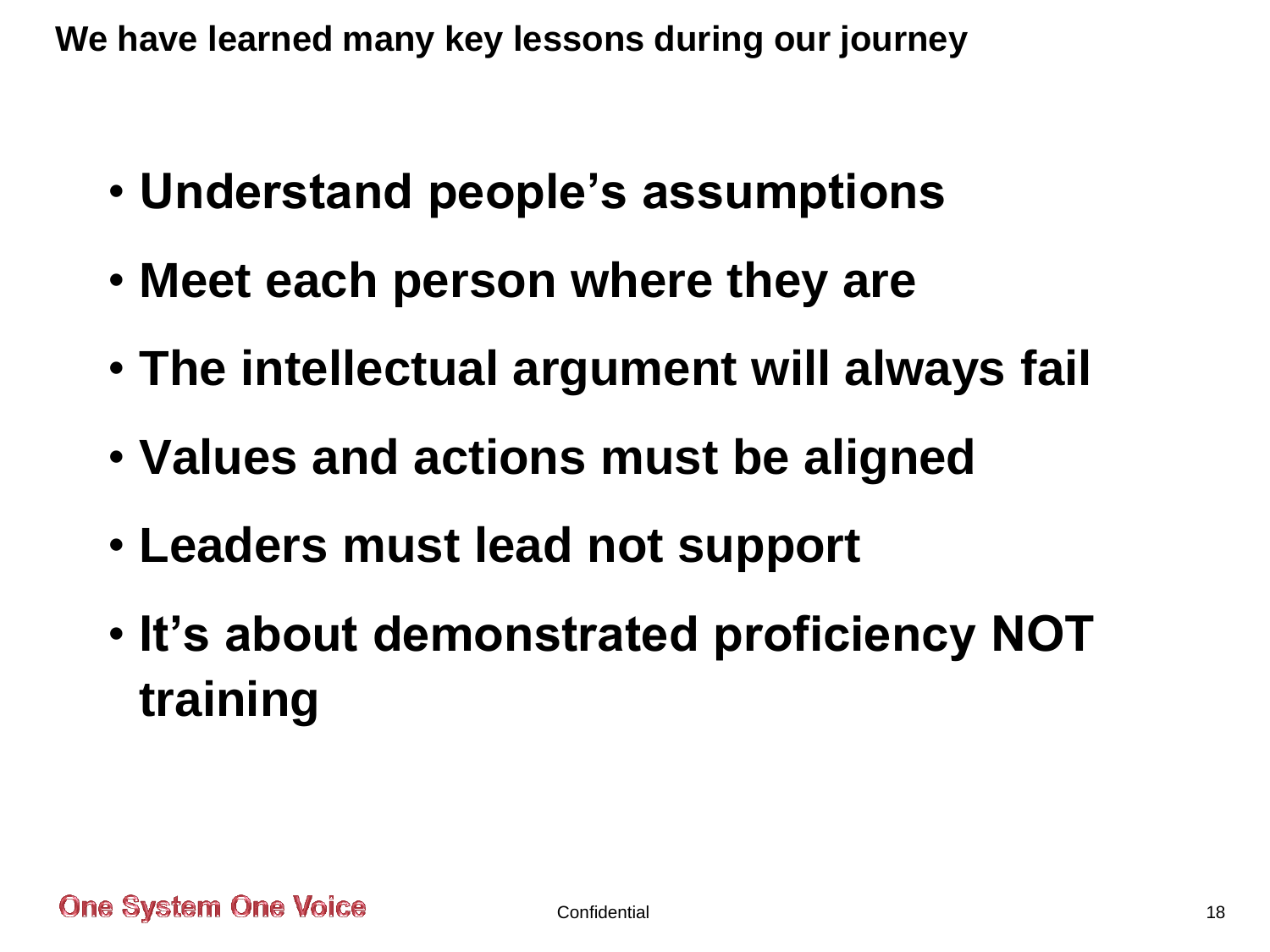**We have learned many key lessons during our journey**

- **Understand people's assumptions**
- **Meet each person where they are**
- **The intellectual argument will always fail**
- **Values and actions must be aligned**
- **Leaders must lead not support**
- **It's about demonstrated proficiency NOT training**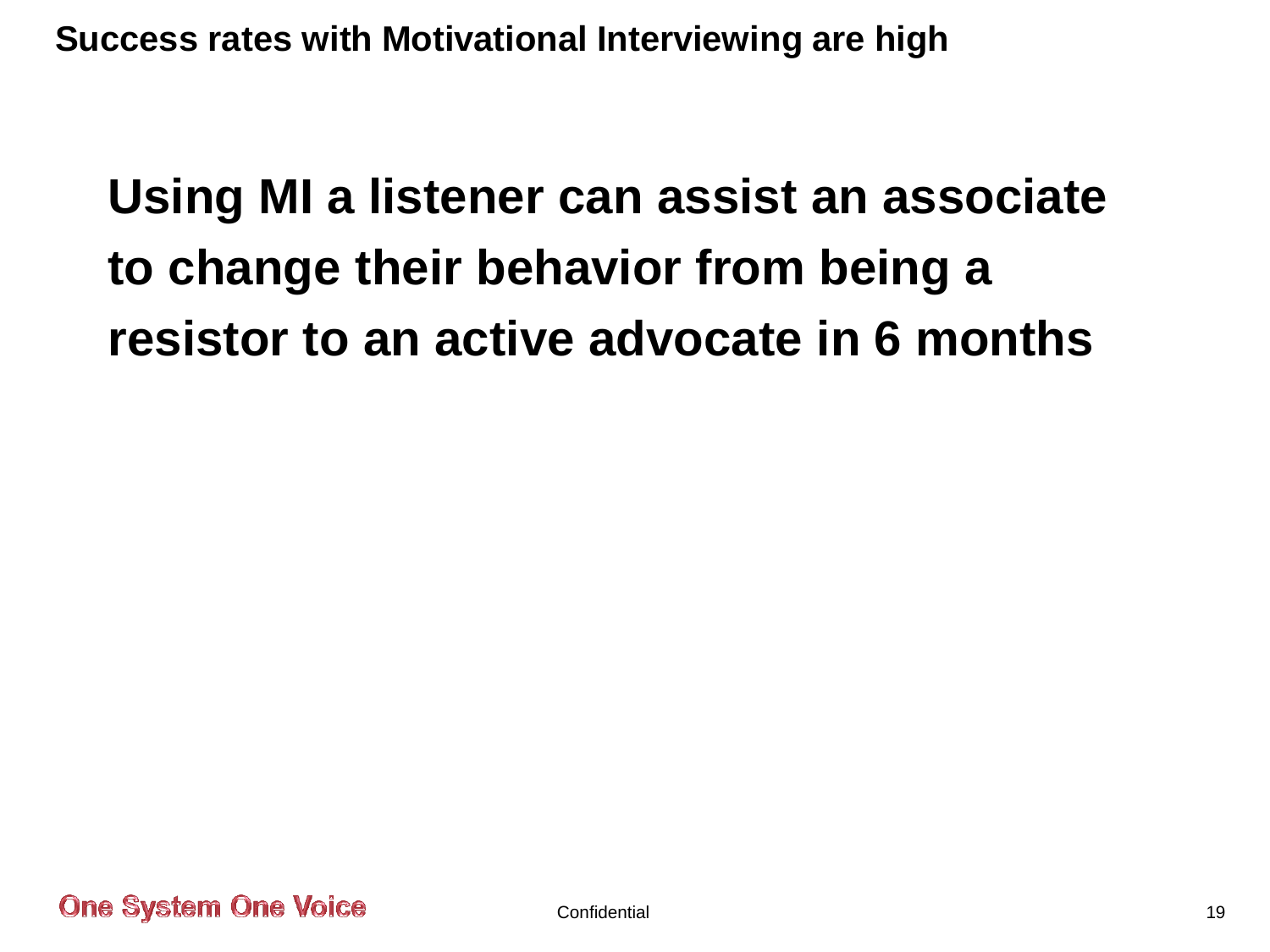**Success rates with Motivational Interviewing are high**

## **Using MI a listener can assist an associate to change their behavior from being a resistor to an active advocate in 6 months**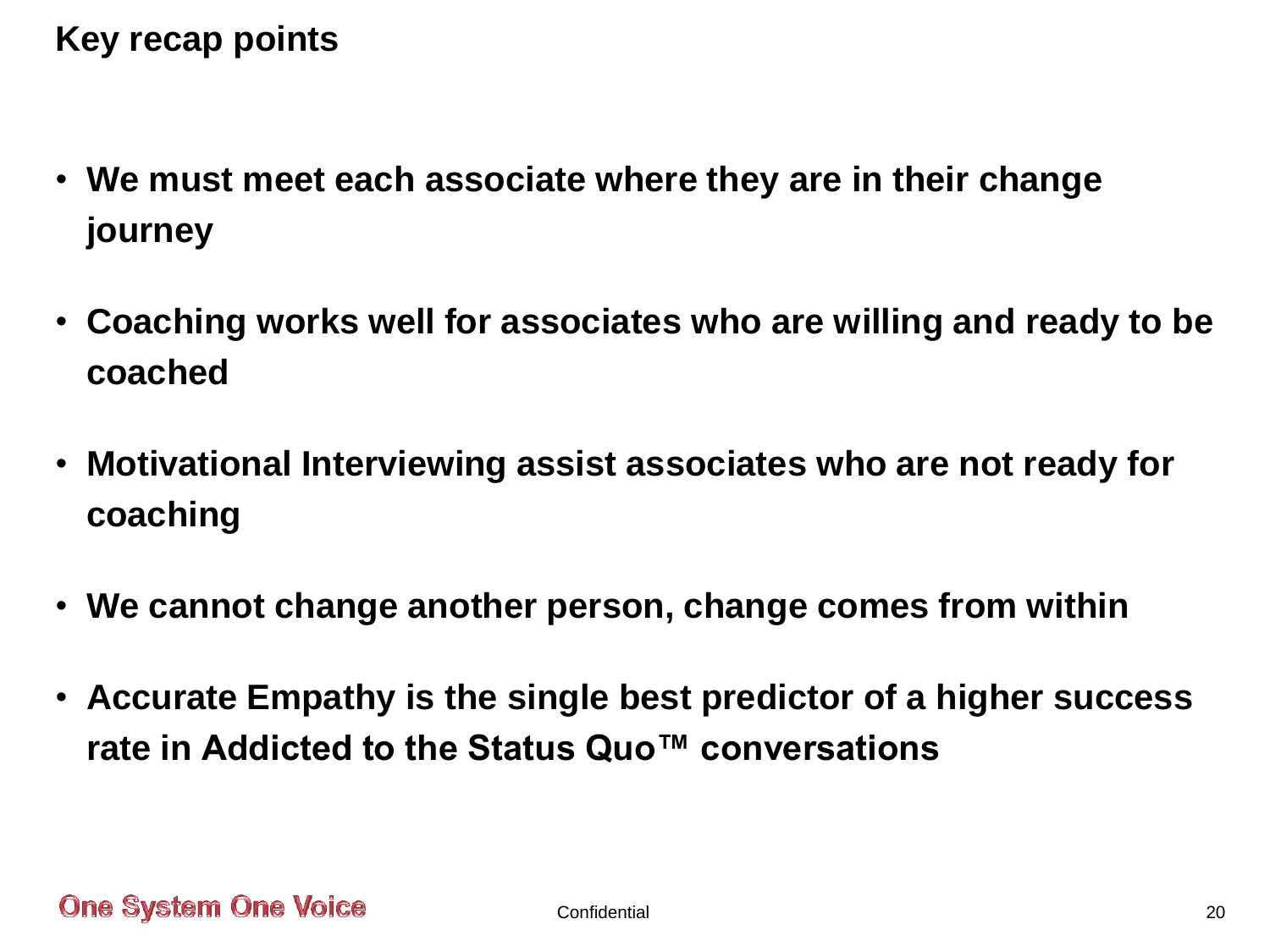**Key recap points**

- **We must meet each associate where they are in their change journey**
- **Coaching works well for associates who are willing and ready to be coached**
- **Motivational Interviewing assist associates who are not ready for coaching**
- **We cannot change another person, change comes from within**
- **Accurate Empathy is the single best predictor of a higher success rate in Addicted to the Status Quo™ conversations**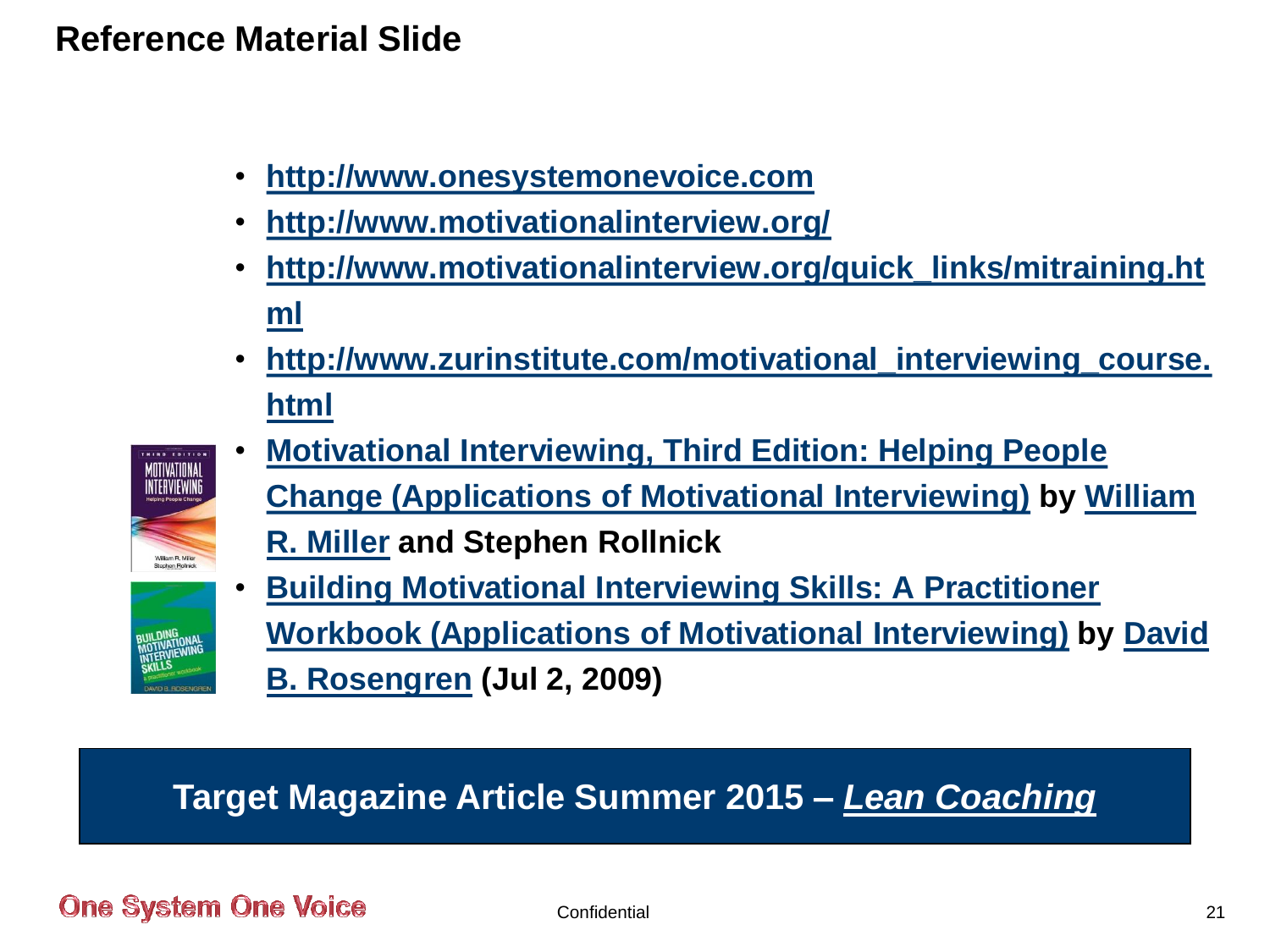#### **Reference Material Slide**

- **[http://www.onesystemonevoice.com](http://www.onesystemonevoice.com/)**
- **<http://www.motivationalinterview.org/>**
- **[http://www.motivationalinterview.org/quick\\_links/mitraining.ht](http://www.motivationalinterview.org/quick_links/mitraining.html) [ml](http://www.motivationalinterview.org/quick_links/mitraining.html)**
- **[http://www.zurinstitute.com/motivational\\_interviewing\\_course.](http://www.zurinstitute.com/motivational_interviewing_course.html) [html](http://www.zurinstitute.com/motivational_interviewing_course.html)**



• **[Motivational Interviewing, Third Edition: Helping People](http://www.amazon.com/Motivational-Interviewing-Third-Edition-Applications/dp/1609182278/ref=sr_1_1?ie=UTF8&qid=1405880361&sr=8-1&keywords=Motivational+Interviewing)  [Change \(Applications of Motivational Interviewing\)](http://www.amazon.com/Motivational-Interviewing-Third-Edition-Applications/dp/1609182278/ref=sr_1_1?ie=UTF8&qid=1405880361&sr=8-1&keywords=Motivational+Interviewing) by [William](http://www.amazon.com/William-R.-Miller/e/B001KII9XG/ref=sr_ntt_srch_lnk_1?qid=1405880361&sr=8-1)  [R. Miller](http://www.amazon.com/William-R.-Miller/e/B001KII9XG/ref=sr_ntt_srch_lnk_1?qid=1405880361&sr=8-1) and Stephen Rollnick** 



• **[Building Motivational Interviewing Skills: A Practitioner](http://www.amazon.com/Building-Motivational-Interviewing-Skills-Practitioner/dp/1606232991/ref=sr_1_4?ie=UTF8&qid=1405880361&sr=8-4&keywords=Motivational+Interviewing)  [Workbook \(Applications of Motivational Interviewing\)](http://www.amazon.com/Building-Motivational-Interviewing-Skills-Practitioner/dp/1606232991/ref=sr_1_4?ie=UTF8&qid=1405880361&sr=8-4&keywords=Motivational+Interviewing) by [David](http://www.amazon.com/David-B.-Rosengren/e/B0028OC7ZM/ref=sr_ntt_srch_lnk_4?qid=1405880361&sr=8-4)  [B. Rosengren](http://www.amazon.com/David-B.-Rosengren/e/B0028OC7ZM/ref=sr_ntt_srch_lnk_4?qid=1405880361&sr=8-4) (Jul 2, 2009)** 

### **Target Magazine Article Summer 2015 –** *Lean Coaching*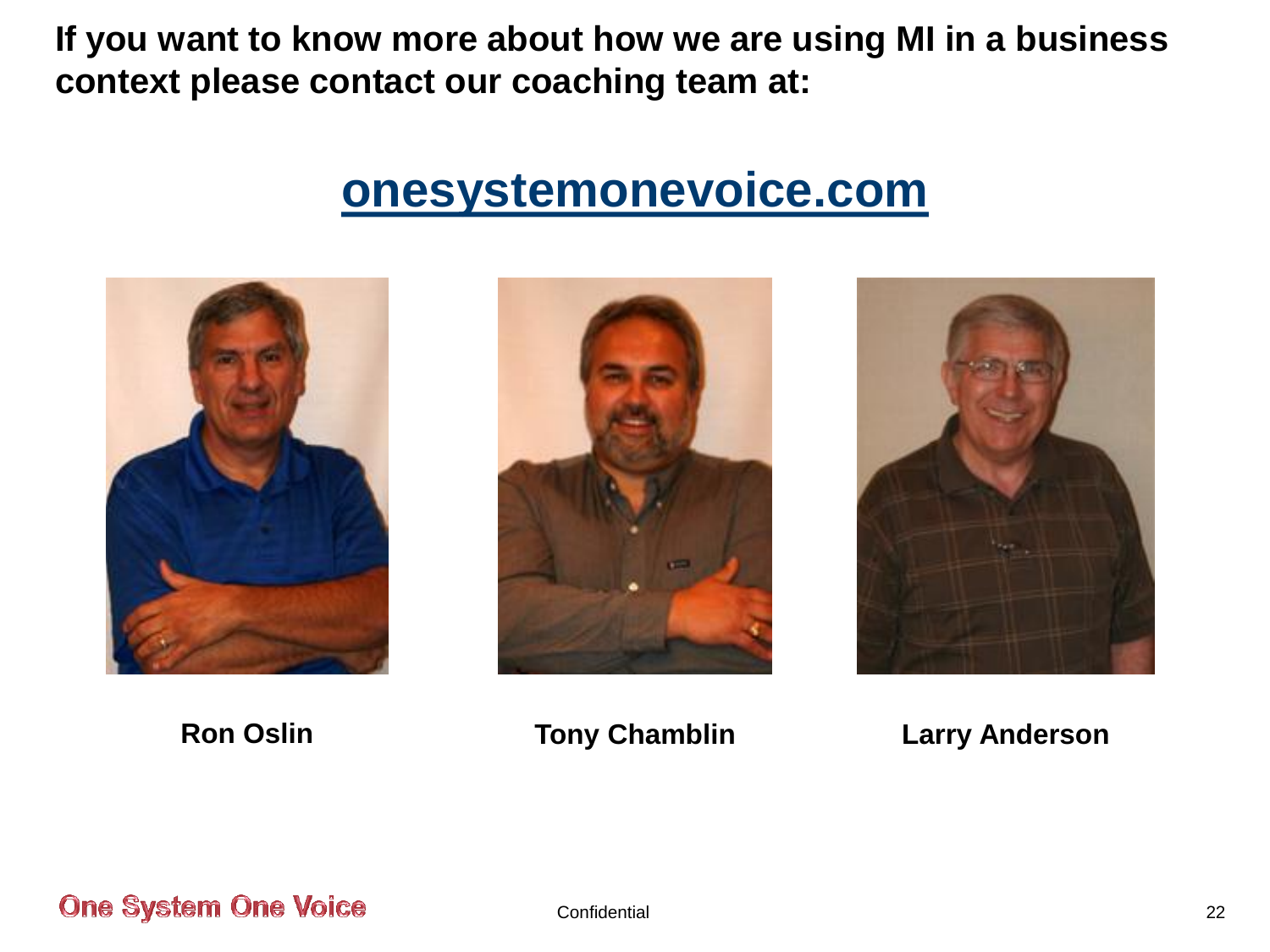**If you want to know more about how we are using MI in a business context please contact our coaching team at:**

## **[onesystemonevoice.com](http://www.onesystemonevoice.com/)**







**Ron Oslin Tony Chamblin Larry Anderson**

**One System One Voice**